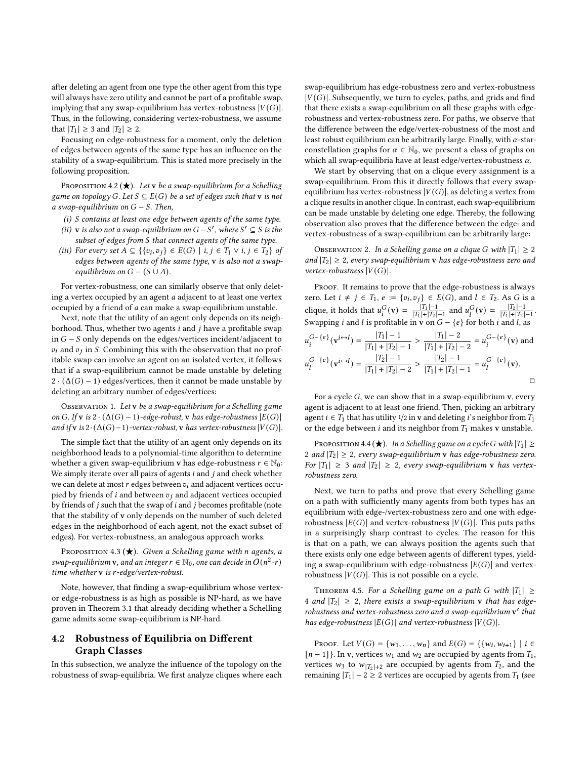after deleting an agent from one type the other agent from this type will always have zero utility and cannot be part of a profitable swap, implying that any swap-equilibrium has vertex-robustness  $|V(G)|$ . Thus, in the following, considering vertex-robustness, we assume that  $|T_1| \geq 3$  and  $|T_2| \geq 2$ .

Focusing on edge-robustness for a moment, only the deletion of edges between agents of the same type has an influence on the stability of a swap-equilibrium. This is stated more precisely in the following proposition.

PROPOSITION 4.2 ( $\bigstar$ ). Let v be a swap-equilibrium for a Schelling game on topology G. Let  $S \subseteq E(G)$  be a set of edges such that **v** is not a swap-equilibrium on  $G - S$ . Then,

- $(i)$  S contains at least one edge between agents of the same type.
- (ii) v is also not a swap-equilibrium on  $G S'$ , where  $S' \subseteq S$  is the subset of edges from  $S$  that connect agents of the same type.
- (iii) For every set  $A \subseteq \{ \{v_i, v_j\} \in E(G) \mid i, j \in T_1 \vee i, j \in T_2 \}$  of edges between agents of the same type, v is also not a swapequilibrium on  $G - (S \cup A)$ .

For vertex-robustness, one can similarly observe that only deleting a vertex occupied by an agent  $a$  adjacent to at least one vertex occupied by a friend of *a* can make a swap-equilibrium unstable.

Next, note that the utility of an agent only depends on its neighborhood. Thus, whether two agents  $i$  and  $j$  have a profitable swap in  $G - S$  only depends on the edges/vertices incident/adjacent to  $v_i$  and  $v_j$  in S. Combining this with the observation that no profitable swap can involve an agent on an isolated vertex, it follows that if a swap-equilibrium cannot be made unstable by deleting  $2 \cdot (\Delta(G) - 1)$  edges/vertices, then it cannot be made unstable by deleting an arbitrary number of edges/vertices:

OBSERVATION 1. Let v be a swap-equilibrium for a Schelling game on G. If v is  $2 \cdot (\Delta(G) - 1)$ -edge-robust, v has edge-robustness  $|E(G)|$ and if v is  $2 \cdot (\Delta(G)-1)$ -vertex-robust, v has vertex-robustness  $|V(G)|$ .

The simple fact that the utility of an agent only depends on its neighborhood leads to a polynomial-time algorithm to determine whether a given swap-equilibrium v has edge-robustness  $r \in \mathbb{N}_0$ : We simply iterate over all pairs of agents  $i$  and  $j$  and check whether we can delete at most  $r$  edges between  $v_i$  and adjacent vertices occupied by friends of  $i$  and between  $v_j$  and adjacent vertices occupied by friends of  $j$  such that the swap of  $i$  and  $j$  becomes profitable (note that the stability of v only depends on the number of such deleted edges in the neighborhood of each agent, not the exact subset of edges). For vertex-robustness, an analogous approach works.

PROPOSITION 4.3 ( $\bigstar$ ). Given a Schelling game with n agents, a swap-equilibrium **v**, and an integer  $r \in \mathbb{N}_0$ , one can decide in  $O(n^2 \cdot r)$ time whether  $v$  is  $r$ -edge/vertex-robust.

Note, however, that finding a swap-equilibrium whose vertexor edge-robustness is as high as possible is NP-hard, as we have proven in Theorem [3.1](#page-3-0) that already deciding whether a Schelling game admits some swap-equilibrium is NP-hard.

## 4.2 Robustness of Equilibria on Different Graph Classes

In this subsection, we analyze the influence of the topology on the robustness of swap-equilibria. We first analyze cliques where each swap-equilibrium has edge-robustness zero and vertex-robustness  $|V(G)|$ . Subsequently, we turn to cycles, paths, and grids and find that there exists a swap-equilibrium on all these graphs with edgerobustness and vertex-robustness zero. For paths, we observe that the difference between the edge/vertex-robustness of the most and least robust equilibrium can be arbitrarily large. Finally, with  $\alpha$ -starconstellation graphs for  $\alpha \in \mathbb{N}_0$ , we present a class of graphs on which all swap-equilibria have at least edge/vertex-robustness  $\alpha$ .

We start by observing that on a clique every assignment is a swap-equilibrium. From this it directly follows that every swapequilibrium has vertex-robustness  $|V(G)|$ , as deleting a vertex from a clique results in another clique. In contrast, each swap-equilibrium can be made unstable by deleting one edge. Thereby, the following observation also proves that the difference between the edge- and vertex-robustness of a swap-equilibrium can be arbitrarily large:

OBSERVATION 2. In a Schelling game on a clique G with  $|T_1| \geq 2$ and  $|T_2| \geq 2$ , every swap-equilibrium v has edge-robustness zero and vertex-robustness  $|V(G)|$ .

PROOF. It remains to prove that the edge-robustness is always zero. Let  $i \neq j \in T_1$ ,  $e := \{v_i, v_j\} \in E(G)$ , and  $l \in T_2$ . As G is a clique, it holds that  $u_i^G(\mathbf{v}) = \frac{|T_1| - 1}{|T_1| + |T_2|}$  $\frac{|T_1|-1}{|T_1|+|T_2|-1}$  and  $u_l^G(\mathbf{v}) = \frac{|T_2|-1}{|T_1|+|T_2|}$  $\frac{|T_2|-1}{|T_1|+|T_2|-1}.$ Swapping *i* and *l* is profitable in **v** on  $G - \{e\}$  for both *i* and *l*, as

$$
u_i^{G-\{e\}}(\mathbf{v}^{i \leftrightarrow l}) = \frac{|T_1| - 1}{|T_1| + |T_2| - 1} > \frac{|T_1| - 2}{|T_1| + |T_2| - 2} = u_i^{G-\{e\}}(\mathbf{v}) \text{ and}
$$
  

$$
u_l^{G-\{e\}}(\mathbf{v}^{i \leftrightarrow l}) = \frac{|T_2| - 1}{|T_1| + |T_2| - 2} > \frac{|T_2| - 1}{|T_1| + |T_2| - 1} = u_l^{G-\{e\}}(\mathbf{v}).
$$

For a cycle  $G$ , we can show that in a swap-equilibrium v, every agent is adjacent to at least one friend. Then, picking an arbitrary agent  $i \in T_1$  that has utility 1/2 in v and deleting i's neighbor from  $T_1$ or the edge between  $i$  and its neighbor from  $T_1$  makes v unstable.

PROPOSITION 4.4 ( $\bigstar$ ). In a Schelling game on a cycle G with  $|T_1| \ge$ 2 and  $|T_2| \geq 2$ , every swap-equilibrium v has edge-robustness zero. For  $|T_1| \geq 3$  and  $|T_2| \geq 2$ , every swap-equilibrium v has vertexrobustness zero.

Next, we turn to paths and prove that every Schelling game on a path with sufficiently many agents from both types has an equilibrium with edge-/vertex-robustness zero and one with edgerobustness  $|E(G)|$  and vertex-robustness  $|V(G)|$ . This puts paths in a surprisingly sharp contrast to cycles. The reason for this is that on a path, we can always position the agents such that there exists only one edge between agents of different types, yielding a swap-equilibrium with edge-robustness  $|E(G)|$  and vertexrobustness  $|V(G)|$ . This is not possible on a cycle.

<span id="page-5-0"></span>THEOREM 4.5. For a Schelling game on a path G with  $|T_1| \geq$ 4 and  $|T_2| \geq 2$ , there exists a swap-equilibrium v that has edgerobustness and vertex-robustness zero and a swap-equilibrium v' that has edge-robustness  $|E(G)|$  and vertex-robustness  $|V(G)|$ .

PROOF. Let  $V(G) = \{w_1, \ldots, w_n\}$  and  $E(G) = \{\{w_i, w_{i+1}\} \mid i \in$  $[n-1]$ . In v, vertices  $w_1$  and  $w_2$  are occupied by agents from  $T_1$ , vertices  $w_3$  to  $w_{|T_2|+2}$  are occupied by agents from  $T_2$ , and the remaining  $|T_1| - 2 \ge 2$  vertices are occupied by agents from  $T_1$  (see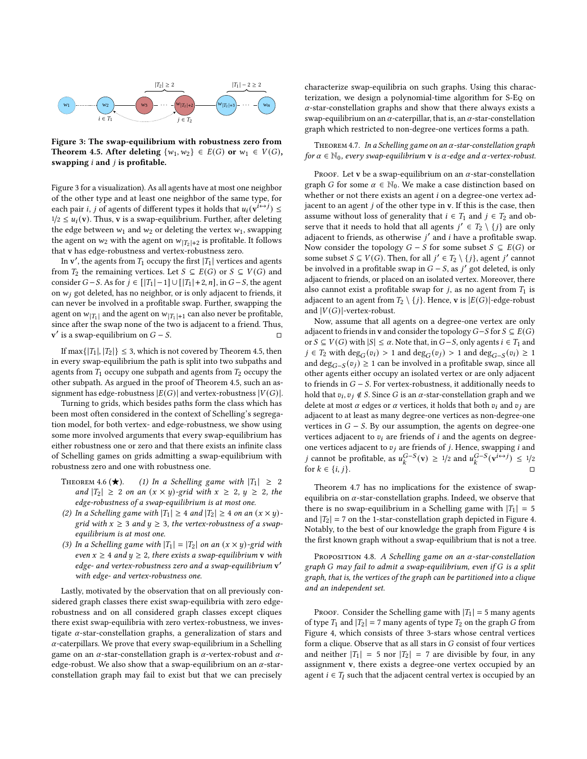<span id="page-6-0"></span>

Figure 3: The swap-equilibrium with robustness zero from Theorem [4.5.](#page-5-0) After deleting  $\{w_1, w_2\} \in E(G)$  or  $w_1 \in V(G)$ , swapping  $i$  and  $j$  is profitable.

Figure [3](#page-6-0) for a visualization). As all agents have at most one neighbor of the other type and at least one neighbor of the same type, for each pair *i*, *j* of agents of different types it holds that  $u_i(\mathbf{v}^i \leftrightarrow j) \leq$  $1/2 \le u_i(\mathbf{v})$ . Thus, **v** is a swap-equilibrium. Further, after deleting the edge between  $w_1$  and  $w_2$  or deleting the vertex  $w_1$ , swapping the agent on  $w_2$  with the agent on  $w_{|T_2|+2}$  is profitable. It follows that v has edge-robustness and vertex-robustness zero.

In  $v'$ , the agents from  $T_1$  occupy the first  $|T_1|$  vertices and agents from  $T_2$  the remaining vertices. Let  $S \subseteq E(G)$  or  $S \subseteq V(G)$  and consider  $G-S$ . As for  $j \in [T_1|-1] \cup [T_1|+2, n]$ , in  $G-S$ , the agent on  $w_i$  got deleted, has no neighbor, or is only adjacent to friends, it can never be involved in a profitable swap. Further, swapping the agent on  $w_{|T_1|}$  and the agent on  $w_{|T_1|+1}$  can also never be profitable, since after the swap none of the two is adjacent to a friend. Thus, v' is a swap-equilibrium on  $G - S$ .

If max $\{|T_1|, |T_2|\} \leq 3$ , which is not covered by Theorem [4.5,](#page-5-0) then in every swap-equilibrium the path is split into two subpaths and agents from  $T_1$  occupy one subpath and agents from  $T_2$  occupy the other subpath. As argued in the proof of Theorem [4.5,](#page-5-0) such an assignment has edge-robustness  $|E(G)|$  and vertex-robustness  $|V(G)|$ .

Turning to grids, which besides paths form the class which has been most often considered in the context of Schelling's segregation model, for both vertex- and edge-robustness, we show using some more involved arguments that every swap-equilibrium has either robustness one or zero and that there exists an infinite class of Schelling games on grids admitting a swap-equilibrium with robustness zero and one with robustness one.

- THEOREM 4.6 ( $\star$ ). (1) In a Schelling game with  $|T_1| \geq 2$ and  $|T_2| \geq 2$  on an  $(x \times y)$ -grid with  $x \geq 2$ ,  $y \geq 2$ , the edge-robustness of a swap-equilibrium is at most one.
- (2) In a Schelling game with  $|T_1| \geq 4$  and  $|T_2| \geq 4$  on an  $(x \times y)$ grid with  $x \geq 3$  and  $y \geq 3$ , the vertex-robustness of a swapequilibrium is at most one.
- (3) In a Schelling game with  $|T_1| = |T_2|$  on an  $(x \times y)$ -grid with even  $x \ge 4$  and  $y \ge 2$ , there exists a swap-equilibrium v with edge- and vertex-robustness zero and a swap-equilibrium v ′ with edge- and vertex-robustness one.

Lastly, motivated by the observation that on all previously considered graph classes there exist swap-equilibria with zero edgerobustness and on all considered graph classes except cliques there exist swap-equilibria with zero vertex-robustness, we investigate  $\alpha$ -star-constellation graphs, a generalization of stars and  $\alpha$ -caterpillars. We prove that every swap-equilibrium in a Schelling game on an  $\alpha$ -star-constellation graph is  $\alpha$ -vertex-robust and  $\alpha$ edge-robust. We also show that a swap-equilibrium on an  $\alpha$ -starconstellation graph may fail to exist but that we can precisely

characterize swap-equilibria on such graphs. Using this characterization, we design a polynomial-time algorithm for S-Eq on  $\alpha$ -star-constellation graphs and show that there always exists a swap-equilibrium on an  $\alpha$ -caterpillar, that is, an  $\alpha$ -star-constellation graph which restricted to non-degree-one vertices forms a path.

<span id="page-6-1"></span>THEOREM 4.7. In a Schelling game on an  $\alpha$ -star-constellation graph for  $\alpha \in \mathbb{N}_0$ , every swap-equilibrium **v** is  $\alpha$ -edge and  $\alpha$ -vertex-robust.

PROOF. Let v be a swap-equilibrium on an  $\alpha$ -star-constellation graph *G* for some  $\alpha \in \mathbb{N}_0$ . We make a case distinction based on whether or not there exists an agent  $i$  on a degree-one vertex adjacent to an agent  $j$  of the other type in  $v$ . If this is the case, then assume without loss of generality that  $i \in T_1$  and  $j \in T_2$  and observe that it needs to hold that all agents  $j' \in T_2 \setminus \{j\}$  are only adiacent to friends, as otherwise  $i'$  and  $i$  have a profitable swap. Now consider the topology  $G - S$  for some subset  $S \subseteq E(G)$  or some subset  $S \subseteq V(G)$ . Then, for all  $j' \in T_2 \setminus \{j\}$ , agent  $j'$  cannot be involved in a profitable swap in  $G - S$ , as  $j'$  got deleted, is only adjacent to friends, or placed on an isolated vertex. Moreover, there also cannot exist a profitable swap for  $j$ , as no agent from  $T_1$  is adjacent to an agent from  $T_2 \setminus \{j\}$ . Hence, **v** is  $|E(G)|$ -edge-robust and  $|V(G)|$ -vertex-robust.

Now, assume that all agents on a degree-one vertex are only adjacent to friends in v and consider the topology  $G-S$  for  $S \subseteq E(G)$ or  $S \subseteq V(G)$  with  $|S| \leq \alpha$ . Note that, in  $G-S$ , only agents  $i \in T_1$  and  $j \in T_2$  with  $\deg_G(v_i) > 1$  and  $\deg_G(v_j) > 1$  and  $\deg_{G-S}(v_i) \ge 1$ and deg<sub>*G*−*S*</sub>( $v_j$ ) ≥ 1 can be involved in a profitable swap, since all other agents either occupy an isolated vertex or are only adjacent to friends in  $G - S$ . For vertex-robustness, it additionally needs to hold that  $v_i, v_j \notin S$ . Since G is an  $\alpha$ -star-constellation graph and we delete at most  $\alpha$  edges or  $\alpha$  vertices, it holds that both  $v_i$  and  $v_j$  are adjacent to at least as many degree-one vertices as non-degree-one vertices in  $G - S$ . By our assumption, the agents on degree-one vertices adjacent to  $v_i$  are friends of  $i$  and the agents on degreeone vertices adjacent to  $v_j$  are friends of *j*. Hence, swapping *i* and *j* cannot be profitable, as  $u_k^{G-S}(v) \ge 1/2$  and  $u_k^{G-S}(v^{i \leftrightarrow j}) \le 1/2$ for  $k \in \{i, j\}$ .

Theorem [4.7](#page-6-1) has no implications for the existence of swapequilibria on  $\alpha$ -star-constellation graphs. Indeed, we observe that there is no swap-equilibrium in a Schelling game with  $|T_1| = 5$ and  $|T_2| = 7$  on the 1-star-constellation graph depicted in Figure [4.](#page-7-0) Notably, to the best of our knowledge the graph from Figure [4](#page-7-0) is the first known graph without a swap-equilibrium that is not a tree.

PROPOSITION 4.8. A Schelling game on an  $\alpha$ -star-constellation graph  $G$  may fail to admit a swap-equilibrium, even if  $G$  is a split graph, that is, the vertices of the graph can be partitioned into a clique and an independent set.

PROOF. Consider the Schelling game with  $|T_1| = 5$  many agents of type  $T_1$  and  $|T_2| = 7$  many agents of type  $T_2$  on the graph G from Figure [4,](#page-7-0) which consists of three 3-stars whose central vertices form a clique. Observe that as all stars in  $G$  consist of four vertices and neither  $|T_1| = 5$  nor  $|T_2| = 7$  are divisible by four, in any assignment v, there exists a degree-one vertex occupied by an agent  $i \in T_l$  such that the adjacent central vertex is occupied by an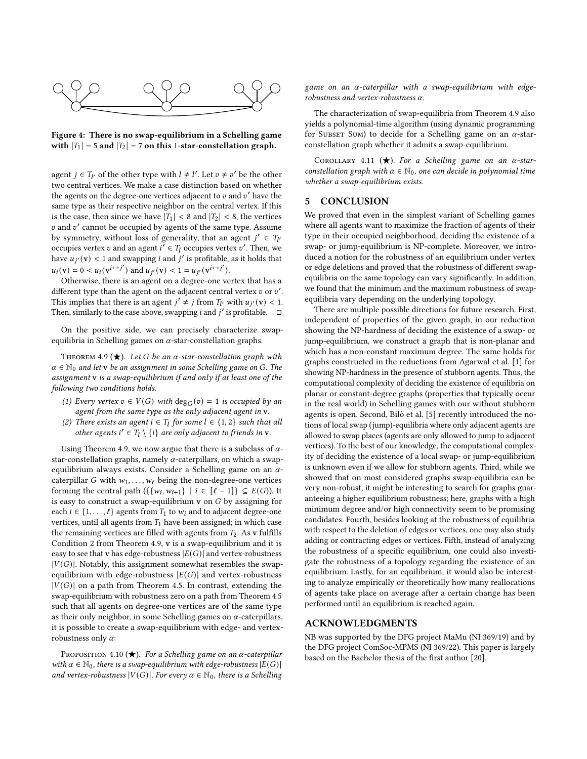<span id="page-7-0"></span>

Figure 4: There is no swap-equilibrium in a Schelling game with  $|T_1| = 5$  and  $|T_2| = 7$  on this 1-star-constellation graph.

agent  $j \in T_{l'}$  of the other type with  $l \neq l'$ . Let  $v \neq v'$  be the other two central vertices. We make a case distinction based on whether the agents on the degree-one vertices adiacent to  $v$  and  $v'$  have the same type as their respective neighbor on the central vertex. If this is the case, then since we have  $|T_1| < 8$  and  $|T_2| < 8$ , the vertices v and v' cannot be occupied by agents of the same type. Assume by symmetry, without loss of generality, that an agent  $j' \in T_{l'}$ occupies vertex v and an agent  $i' \in T_l$  occupies vertex v'. Then, we have  $u_{i'}(v) < 1$  and swapping *i* and *j'* is profitable, as it holds that  $u_i(\mathbf{v}) = 0 < u_i(\mathbf{v}^{i \leftrightarrow j'})$  and  $u_{j'}(\mathbf{v}) < 1 = u_{j'}(\mathbf{v}^{i \leftrightarrow j'}).$ 

Otherwise, there is an agent on a degree-one vertex that has a different type than the agent on the adjacent central vertex  $v$  or  $v'$ . This implies that there is an agent  $j' \neq j$  from  $T_{l'}$  with  $u_{j'}(\mathbf{v}) < 1$ . Then, similarly to the case above, swapping *i* and *i'* is profitable.  $\Box$ 

On the positive side, we can precisely characterize swapequilibria in Schelling games on  $\alpha$ -star-constellation graphs.

<span id="page-7-1"></span>THEOREM 4.9 ( $\bigstar$ ). Let G be an  $\alpha$ -star-constellation graph with  $\alpha \in \mathbb{N}_0$  and let v be an assignment in some Schelling game on G. The assignment v is a swap-equilibrium if and only if at least one of the following two conditions holds.

- (1) Every vertex  $v \in V(G)$  with  $deg_G(v) = 1$  is occupied by an agent from the same type as the only adjacent agent in v.
- (2) There exists an agent  $i \in T_l$  for some  $l \in \{1,2\}$  such that all other agents  $i' \in T_l \setminus \{i\}$  are only adjacent to friends in  $v$ .

Using Theorem [4.9,](#page-7-1) we now argue that there is a subclass of  $\alpha$ star-constellation graphs, namely  $\alpha$ -caterpillars, on which a swapequilibrium always exists. Consider a Schelling game on an  $\alpha$ caterpillar G with  $w_1, \ldots, w_\ell$  being the non-degree-one vertices forming the central path  $({w_i, w_{i+1}} \mid i \in [\ell-1]) \subseteq E(G)$ ). It is easy to construct a swap-equilibrium  $v$  on  $G$  by assigning for each  $i \in \{1, ..., \ell\}$  agents from  $T_1$  to  $w_i$  and to adjacent degree-one vertices, until all agents from  $T_1$  have been assigned; in which case the remaining vertices are filled with agents from  $T_2$ . As v fulfills Condition 2 from Theorem [4.9,](#page-7-1) v is a swap-equilibrium and it is easy to see that v has edge-robustness  $|E(G)|$  and vertex-robustness  $|V(G)|$ . Notably, this assignment somewhat resembles the swapequilibrium with edge-robustness  $|E(G)|$  and vertex-robustness  $|V(G)|$  on a path from Theorem [4.5.](#page-5-0) In contrast, extending the swap-equilibrium with robustness zero on a path from Theorem [4.5](#page-5-0) such that all agents on degree-one vertices are of the same type as their only neighbor, in some Schelling games on  $\alpha$ -caterpillars, it is possible to create a swap-equilibrium with edge- and vertexrobustness only  $\alpha$ :

PROPOSITION 4.10 ( $\bigstar$ ). For a Schelling game on an  $\alpha$ -caterpillar with  $\alpha \in \mathbb{N}_0$ , there is a swap-equilibrium with edge-robustness  $|E(G)|$ and vertex-robustness  $|V(G)|$ . For every  $\alpha \in \mathbb{N}_0$ , there is a Schelling

game on an  $\alpha$ -caterpillar with a swap-equilibrium with edgerobustness and vertex-robustness  $\alpha$ .

The characterization of swap-equilibria from Theorem [4.9](#page-7-1) also yields a polynomial-time algorithm (using dynamic programming for SUBSET SUM) to decide for a Schelling game on an  $\alpha$ -starconstellation graph whether it admits a swap-equilibrium.

COROLLARY 4.11 ( $\bigstar$ ). For a Schelling game on an  $\alpha$ -starconstellation graph with  $\alpha \in \mathbb{N}_0$ , one can decide in polynomial time whether a swap-equilibrium exists.

## 5 CONCLUSION

We proved that even in the simplest variant of Schelling games where all agents want to maximize the fraction of agents of their type in their occupied neighborhood, deciding the existence of a swap- or jump-equilibrium is NP-complete. Moreover, we introduced a notion for the robustness of an equilibrium under vertex or edge deletions and proved that the robustness of different swapequilibria on the same topology can vary significantly. In addition, we found that the minimum and the maximum robustness of swapequilibria vary depending on the underlying topology.

There are multiple possible directions for future research. First, independent of properties of the given graph, in our reduction showing the NP-hardness of deciding the existence of a swap- or jump-equilibrium, we construct a graph that is non-planar and which has a non-constant maximum degree. The same holds for graphs constructed in the reductions from Agarwal et al. [\[1\]](#page-8-0) for showing NP-hardness in the presence of stubborn agents. Thus, the computational complexity of deciding the existence of equilibria on planar or constant-degree graphs (properties that typically occur in the real world) in Schelling games with our without stubborn agents is open. Second, Bilò et al. [\[5\]](#page-8-1) recently introduced the notions of local swap (jump)-equilibria where only adjacent agents are allowed to swap places (agents are only allowed to jump to adjacent vertices). To the best of our knowledge, the computational complexity of deciding the existence of a local swap- or jump-equilibrium is unknown even if we allow for stubborn agents. Third, while we showed that on most considered graphs swap-equilibria can be very non-robust, it might be interesting to search for graphs guaranteeing a higher equilibrium robustness; here, graphs with a high minimum degree and/or high connectivity seem to be promising candidates. Fourth, besides looking at the robustness of equilibria with respect to the deletion of edges or vertices, one may also study adding or contracting edges or vertices. Fifth, instead of analyzing the robustness of a specific equilibrium, one could also investigate the robustness of a topology regarding the existence of an equilibrium. Lastly, for an equilibrium, it would also be interesting to analyze empirically or theoretically how many reallocations of agents take place on average after a certain change has been performed until an equilibrium is reached again.

## ACKNOWLEDGMENTS

NB was supported by the DFG project MaMu (NI 369/19) and by the DFG project ComSoc-MPMS (NI 369/22). This paper is largely based on the Bachelor thesis of the first author [\[20\]](#page-8-2).